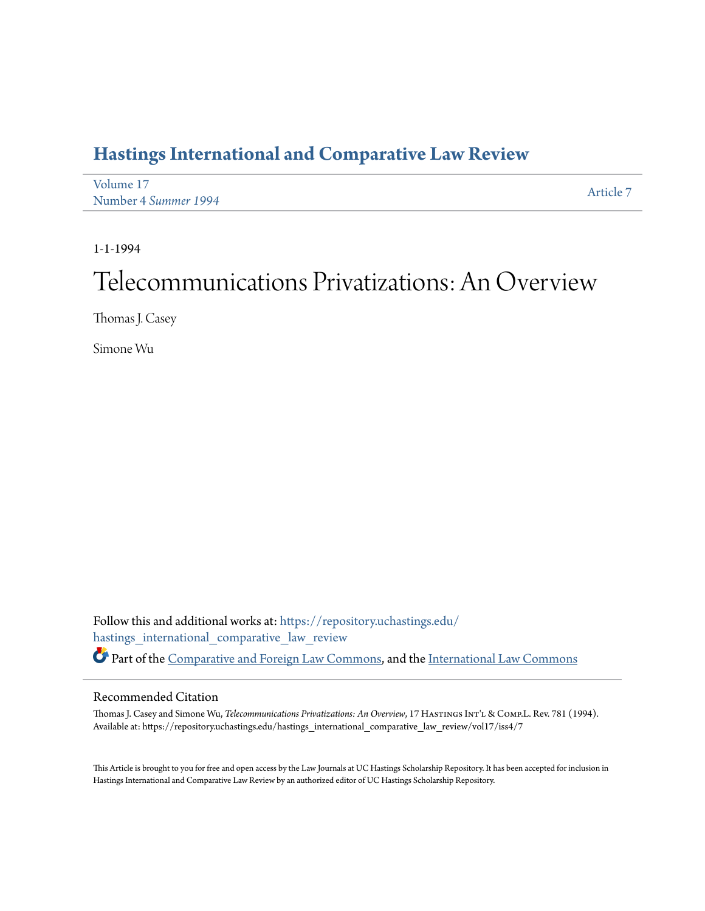# **[Hastings International and Comparative Law Review](https://repository.uchastings.edu/hastings_international_comparative_law_review?utm_source=repository.uchastings.edu%2Fhastings_international_comparative_law_review%2Fvol17%2Fiss4%2F7&utm_medium=PDF&utm_campaign=PDFCoverPages)**

| Volume 17            | Article 7 |
|----------------------|-----------|
| Number 4 Summer 1994 |           |

1-1-1994

# Telecommunications Privatizations: An Overview

Thomas J. Casey

Simone Wu

Follow this and additional works at: [https://repository.uchastings.edu/](https://repository.uchastings.edu/hastings_international_comparative_law_review?utm_source=repository.uchastings.edu%2Fhastings_international_comparative_law_review%2Fvol17%2Fiss4%2F7&utm_medium=PDF&utm_campaign=PDFCoverPages) [hastings\\_international\\_comparative\\_law\\_review](https://repository.uchastings.edu/hastings_international_comparative_law_review?utm_source=repository.uchastings.edu%2Fhastings_international_comparative_law_review%2Fvol17%2Fiss4%2F7&utm_medium=PDF&utm_campaign=PDFCoverPages) Part of the [Comparative and Foreign Law Commons](http://network.bepress.com/hgg/discipline/836?utm_source=repository.uchastings.edu%2Fhastings_international_comparative_law_review%2Fvol17%2Fiss4%2F7&utm_medium=PDF&utm_campaign=PDFCoverPages), and the [International Law Commons](http://network.bepress.com/hgg/discipline/609?utm_source=repository.uchastings.edu%2Fhastings_international_comparative_law_review%2Fvol17%2Fiss4%2F7&utm_medium=PDF&utm_campaign=PDFCoverPages)

## Recommended Citation

Thomas J. Casey and Simone Wu, *Telecommunications Privatizations: An Overview*, 17 HASTINGS INT'L & COMP.L. Rev. 781 (1994). Available at: https://repository.uchastings.edu/hastings\_international\_comparative\_law\_review/vol17/iss4/7

This Article is brought to you for free and open access by the Law Journals at UC Hastings Scholarship Repository. It has been accepted for inclusion in Hastings International and Comparative Law Review by an authorized editor of UC Hastings Scholarship Repository.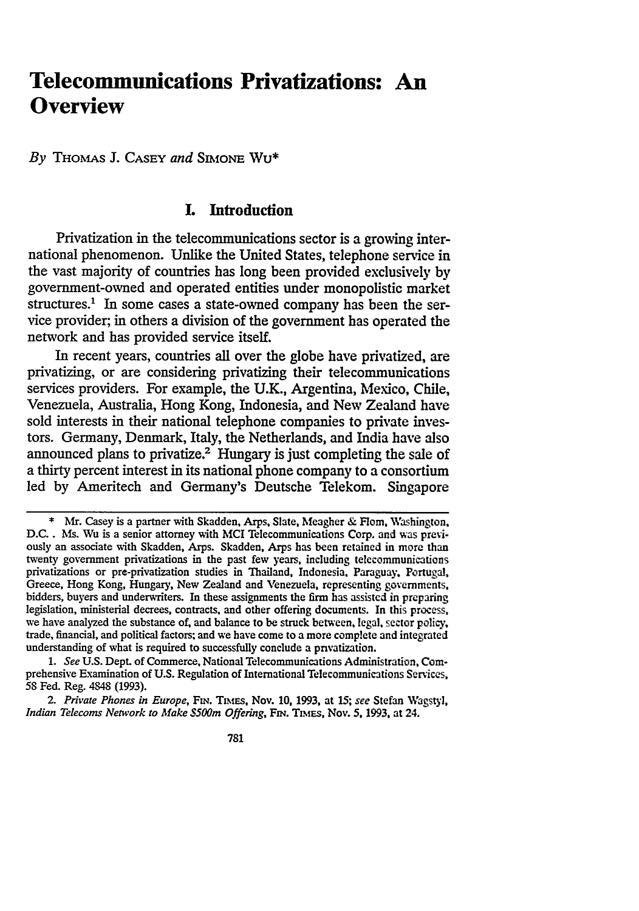# **Telecommunications Privatizations: An Overview**

*By* **THOMAS J. CASEY** *and* SmioNE Wu\*

# **I. Introduction**

Privatization in the telecommunications sector **is a** growing international phenomenon. Unlike the United States, telephone service in the vast majority of countries has long been provided exclusively **by** government-owned and operated entities under monopolistic market structures.<sup>1</sup> In some cases a state-owned company has been the service provider; in others a division of the government has operated the network and has provided service itself.

In recent years, countries all over the globe have privatized, are privatizing, or are considering privatizing their telecommunications services providers. For example, the **U.K.,** Argentina, Mexico, Chile, Venezuela, Australia, Hong Kong, Indonesia, and New Zealand have sold interests in their national telephone companies to private investors. Germany, Denmark, Italy, the Netherlands, and India have also announced plans to privatize.<sup>2</sup> Hungary is just completing the sale of a thirty percent interest in its national phone company to a consortium led **by** Ameritech and Germany's Deutsche Telekom. Singapore

**<sup>\*</sup>** Mr. Casey is a partner with Skadden, Arps, Slate, Meagher & **Horn,** Washington. D.C.. Ms. Wu is a senior attorney with **MCI** Telecommunications Corp. and was previously an associate with Skadden, Arps. Skadden, Arps has been retained in more than twenty government privatizations in the past **few** years, including telecommunications privatizations or pre-privatization studies in Thailand, Indonesia, Paraguay, Portugal, Greece, Hong Kong, Hungary, New Zealand and Venezuela, representing governments. bidders, buyers and underwriters. In these assignments the firm has assisted in preparing legislation, ministerial decrees, contracts, and other offering documents. In this process, we have analyzed the substance of, and balance to be struck between, legal, sector policy, trade, financial, and political factors; and we have come to a more complete and integrated understanding of what is required to successfully conclude a privatization.

*<sup>1.</sup> See* U.S. Dept. of Commerce, National Telecommunications Administration, Comprehensive Examination of U.S. Regulation of International Telecommunications Services. 58 Fed. Reg. 4848 (1993).

<sup>2.</sup> Private Phones in Europe, FIN. TIMES, Nov. 10, 1993, at 15; see Stefan Wagstyl, *Indian Telecoms Network to Make \$500m Offering, FIN. TIMES, Nov. 5, 1993, at 24.*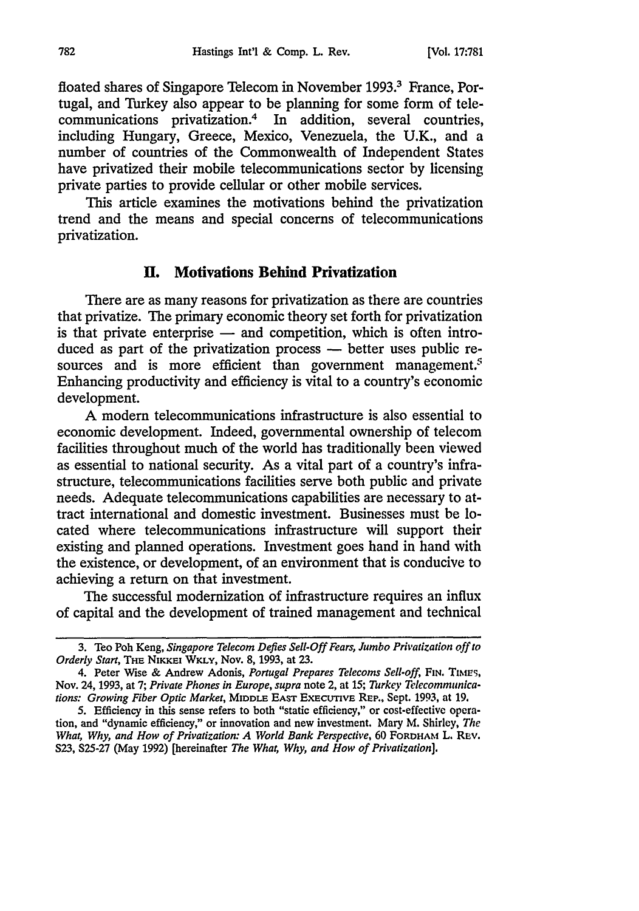floated shares of Singapore Telecom in November 1993.<sup>3</sup> France, Portugal, and Turkey also appear to be planning for some form of telecommunications privatization.4 In addition, several countries, including Hungary, Greece, Mexico, Venezuela, the U.K., and a number of countries of the Commonwealth of Independent States have privatized their mobile telecommunications sector by licensing private parties to provide cellular or other mobile services.

This article examines the motivations behind the privatization trend and the means and special concerns of telecommunications privatization.

#### **H. Motivations Behind Privatization**

There are as many reasons for privatization as there are countries that privatize. The primary economic theory set forth for privatization is that private enterprise — and competition, which is often introduced as part of the privatization process — better uses public resources and is more efficient than government management.<sup> $s$ </sup> Enhancing productivity and efficiency is vital to a country's economic development.

**A** modem telecommunications infrastructure is also essential to economic development. Indeed, governmental ownership of telecom facilities throughout much of the world has traditionally been viewed as essential to national security. As a vital part of a country's infrastructure, telecommunications facilities serve both public and private needs. Adequate telecommunications capabilities are necessary to attract international and domestic investment. Businesses must be located where telecommunications infrastructure will support their existing and planned operations. Investment goes hand in hand with the existence, or development, of an environment that is conducive to achieving a return on that investment.

The successful modernization of infrastructure requires an influx of capital and the development of trained management and technical

<sup>3.</sup> Teo Poh Keng, *Singapore Telecom Defies Sell-Off Fears, Jumbo Privatization off to Orderly Start,* **THE NIKKEI WKLY,** Nov. 8, 1993, at 23.

<sup>4.</sup> Peter Wise & Andrew Adonis, *Portugal Prepares Telecoms Sell-off*, FIN. TIMES, Nov. 24, 1993, at 7; *Private Phones in Europe, supra* note 2, at *15; Turkey Telecommunications: Growing Fiber Optic Market,* **MIDDLE EAST ExEcutIvE** Rep., Sept. 1993, at 19.

<sup>5.</sup> Efficiency in this sense refers to both "static efficiency," or cost-effective operation, and "dynamic efficiency," or innovation and new investment. Mary M. Shirley, *The What, Why, and How of Privatization: A World Bank Perspective,* 60 **FORDHAM** L. REv. **S23,** S25-27 (May 1992) [hereinafter *The What, Why, and How of Privatization].*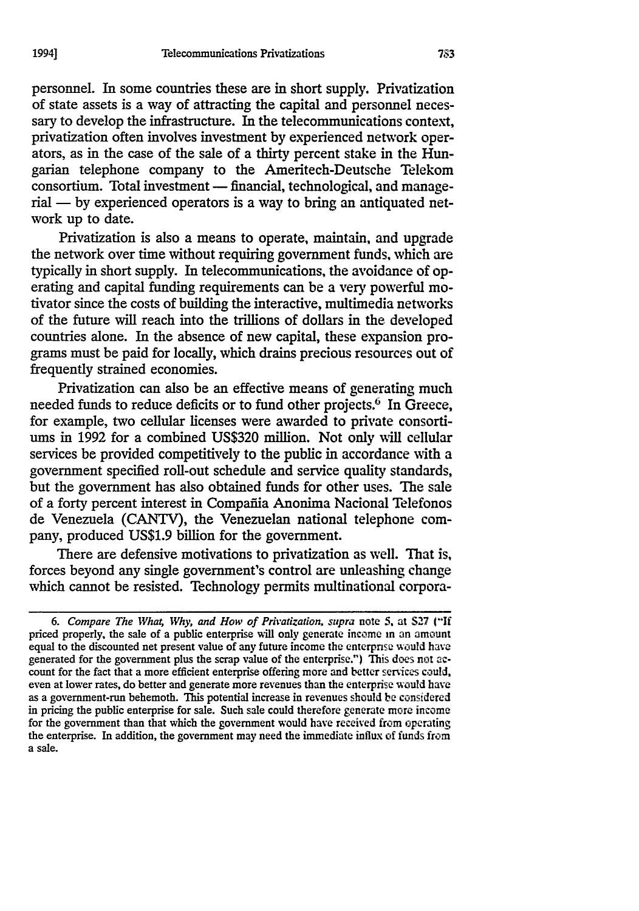personnel. In some countries these are in short supply. Privatization of state assets is a way of attracting the capital and personnel necessary to develop the infrastructure. In the telecommunications context, privatization often involves investment by experienced network operators, as in the case of the sale of a thirty percent stake in the Hungarian telephone company to the Ameritech-Deutsche Telekom consortium. Total investment - financial, technological, and manage $rial - by experienced operators is a way to bring an antiquated net$ work up to date.

Privatization is also a means to operate, maintain, and upgrade the network over time without requiring government funds, which are typically in short supply. In telecommunications, the avoidance of operating and capital funding requirements can be a very powerful motivator since the costs of building the interactive, multimedia networks of the future will reach into the trillions of dollars in the developed countries alone. In the absence of new capital, these expansion programs must be paid for locally, which drains precious resources out of frequently strained economies.

Privatization can also be an effective means of generating much needed funds to reduce deficits or to fund other projects.<sup>6</sup> In Greece, for example, two cellular licenses were awarded to private consortiums in 1992 for a combined US\$320 million. Not only will cellular services be provided competitively to the public in accordance with a government specified roll-out schedule and service quality standards, but the government has also obtained funds for other uses. The sale of a forty percent interest in Compañia Anonima Nacional Telefonos de Venezuela (CANTV), the Venezuelan national telephone company, produced US\$1.9 billion for the government.

There are defensive motivations to privatization as well. That is, forces beyond any single government's control are unleashing change which cannot be resisted. Technology permits multinational corpora-

*<sup>6.</sup> Compare The Wha; Why, and How of Privatization, supra* note **5.** at **S27 (-If** priced properly, the sale of a public enterprise will only generate income in an amount equal to the discounted net present value of any future income the enterpnse would have generated for the government plus the scrap value of the enterprise.") This does not **ac**count for the fact that a more efficient enterprise offering more and better services could, even at lower rates, do better and generate more revenues than the enterprise would have as a government-run behemoth. This potential increase in revenues should be considered in pricing the public enterprise for sale. Such sale could therefore generate more income for the government than that which the government would have received from operating the enterprise. In addition, the government may need the immediate influx of funds from a sale.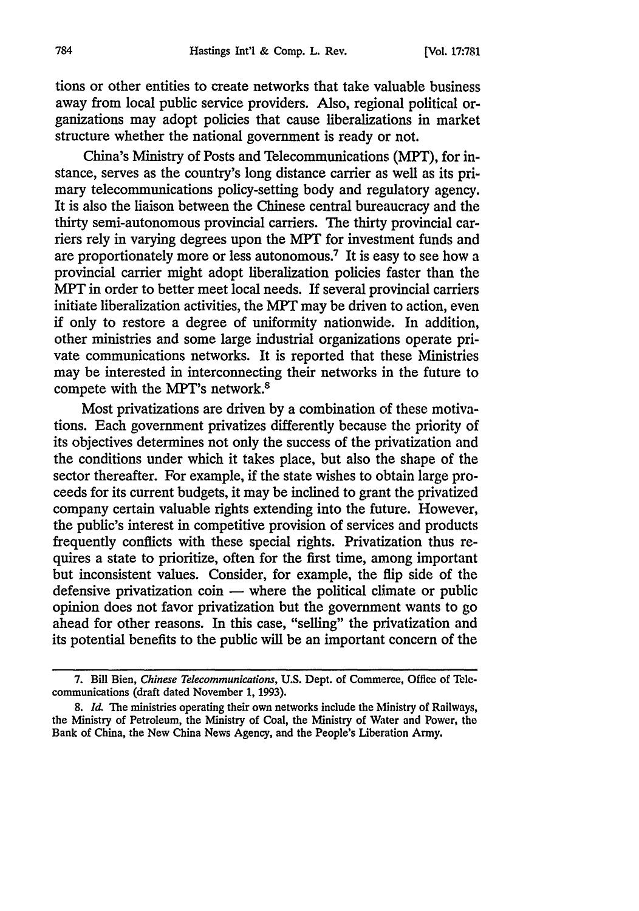tions or other entities to create networks that take valuable business away from local public service providers. Also, regional political organizations may adopt policies that cause liberalizations in market structure whether the national government is ready or not.

China's Ministry of Posts and Telecommunications (MPT), for instance, serves as the country's long distance carrier as well as its primary telecommunications policy-setting body and regulatory agency. It is also the liaison between the Chinese central bureaucracy and the thirty semi-autonomous provincial carriers. The thirty provincial carriers rely in varying degrees upon the MPT for investment funds and are proportionately more or less autonomous.7 It is easy to see how a provincial carrier might adopt liberalization policies faster than the MPT in order to better meet local needs. If several provincial carriers initiate liberalization activities, the MPT may be driven to action, even if only to restore a degree of uniformity nationwide. In addition, other ministries and some large industrial organizations operate private communications networks. It is reported that these Ministries may be interested in interconnecting their networks in the future to compete with the MPT's network.<sup>8</sup>

Most privatizations are driven by a combination of these motivations. Each government privatizes differently because the priority of its objectives determines not only the success of the privatization and the conditions under which it takes place, but also the shape of the sector thereafter. For example, if the state wishes to obtain large proceeds for its current budgets, it may be inclined to grant the privatized company certain valuable rights extending into the future. However, the public's interest in competitive provision of services and products frequently conflicts with these special rights. Privatization thus requires a state to prioritize, often for the first time, among important but inconsistent values. Consider, for example, the flip side of the defensive privatization  $\dot{\rm con}$  — where the political climate or public opinion does not favor privatization but the government wants to go ahead for other reasons. In this case, "selling" the privatization and its potential benefits to the public will be an important concern of the

<sup>7.</sup> Bill Bien, *Chinese Telecommunications,* U.S. Dept. of Commerce, **Office** of Telecommunications (draft dated November 1, 1993).

<sup>8.</sup> *Id.* The ministries operating their own networks include the Ministry of Railways, the Ministry of Petroleum, the Ministry of Coal, the Ministry of Water and Power, the Bank of China, the New China News Agency, and the People's Liberation Army.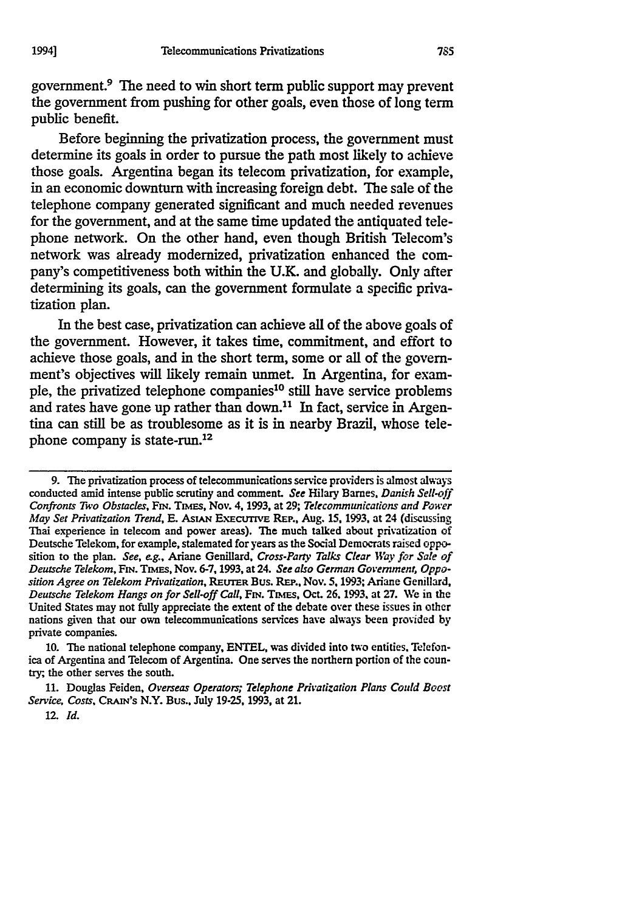government.9 The need to win short term public support may prevent the government from pushing for other goals, even those of long term public benefit.

Before beginning the privatization process, the government must determine its goals in order to pursue the path most likely to achieve those goals. Argentina began its telecom privatization, for example, in an economic downturn with increasing foreign debt. The sale of the telephone company generated significant and much needed revenues for the government, and at the same time updated the antiquated telephone network. On the other hand, even though British Telecom's network was already modernized, privatization enhanced the company's competitiveness both within the **U.K.** and globally. Only after determining its goals, can the government formulate a specific privatization plan.

In the best case, privatization can achieve all of the above goals of the government. However, it takes time, commitment, and effort to achieve those goals, and in the short term, some or all of the government's objectives will likely remain unmet. In Argentina, for example, the privatized telephone companies<sup>10</sup> still have service problems and rates have gone up rather than down.<sup>11</sup> In fact, service in Argentina can still be as troublesome as it is in nearby Brazil, whose telephone company is state-run.12

**10.** The national telephone company, **ENTEL, was** divided into two entities, Telefon**iea** of Argentina and Telecom of Argentina. One serves the northern portion of the coun**try;,** the other serves the south.

**11.** Douglas Feiden, *Overseas Operators; Telephone Privatization Plans Could Boost Service, Costs, CRAN's* N.Y. Bus., July **19-25, 1993,** at 21.

**1994]**

**<sup>9.</sup>** The privatization process of telecommunications service providers is almost always conducted amid intense public scrutiny and comment. *See Hilary* Barnes, *Danish Sell-off Confronts Two Obstacles,* **FIN. Tams,** Nov. **4,** 1993, at **29;** *Telecommunications and Power May Set Privatization Trend,* **E. AsiAN** EXECuTIVE REP., Aug. **15, 1993,** at 24 (discussing Thai experience in telecom and power areas). **The** much talked about privatization of Deutsche Telekom, for example, stalemated for years as the Social Democrats raised opposition to the plan. *See, e.g.,* Ariane Genillard, *Cross-Party Talks Clear Way for Sale of Deutsche Telekom,* FIN. Tmms, Nov. **6-7, 1993,** at 24. *See also German Government, Opposition Agree on Telekom Privatization,* **REUTER** Bus. **Rm,.,** Nov. **5,1993;** Ariane Genillard, *Deutsche Telekom Hangs on for Sell-off Call, FrN.* Tsms, Oct. **26. 1993.** at **27.** We in the United States may not fully appreciate the extent of the debate over these issues in other nations given that our own telecommunications services have always been provided **by** private companies.

<sup>12.</sup> *Id.*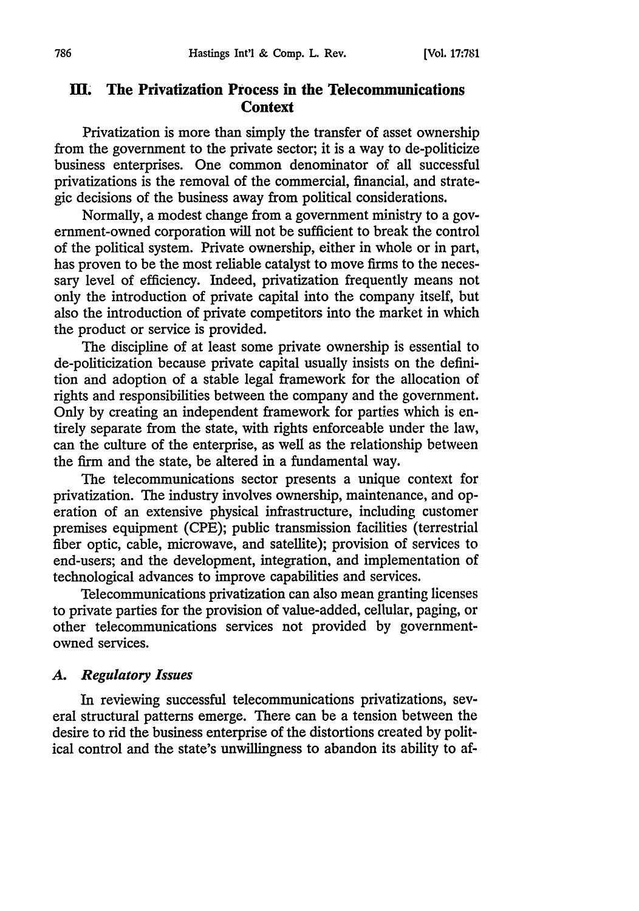## **Hi. The Privatization Process in the Telecommunications Context**

Privatization is more than simply the transfer of asset ownership from the government to the private sector; it is a way to de-politicize business enterprises. One common denominator of all successful privatizations is the removal of the commercial, financial, and strategic decisions of the business away from political considerations.

Normally, a modest change from a government ministry to a government-owned corporation will not be sufficient to break the control of the political system. Private ownership, either in whole or in part, has proven to be the most reliable catalyst to move firms to the necessary level of efficiency. Indeed, privatization frequently means not only the introduction of private capital into the company itself, but also the introduction of private competitors into the market in which the product or service is provided.

The discipline of at least some private ownership is essential to de-politicization because private capital usually insists on the definition and adoption of a stable legal framework for the allocation of rights and responsibilities between the company and the government. Only by creating an independent framework for parties which is entirely separate from the state, with rights enforceable under the law, can the culture of the enterprise, as well as the relationship between the firm and the state, be altered in a fundamental way.

The telecommunications sector presents a unique context for privatization. The industry involves ownership, maintenance, and operation of an extensive physical infrastructure, including customer premises equipment (CPE); public transmission facilities (terrestrial fiber optic, cable, microwave, and satellite); provision of services to end-users; and the development, integration, and implementation of technological advances to improve capabilities and services.

Telecommunications privatization can also mean granting licenses to private parties for the provision of value-added, cellular, paging, or other telecommunications services not provided by governmentowned services.

#### *A. Regulatory Issues*

In reviewing successful telecommunications privatizations, several structural patterns emerge. There can be a tension between the desire to rid the business enterprise of the distortions created by political control and the state's unwillingness to abandon its ability to af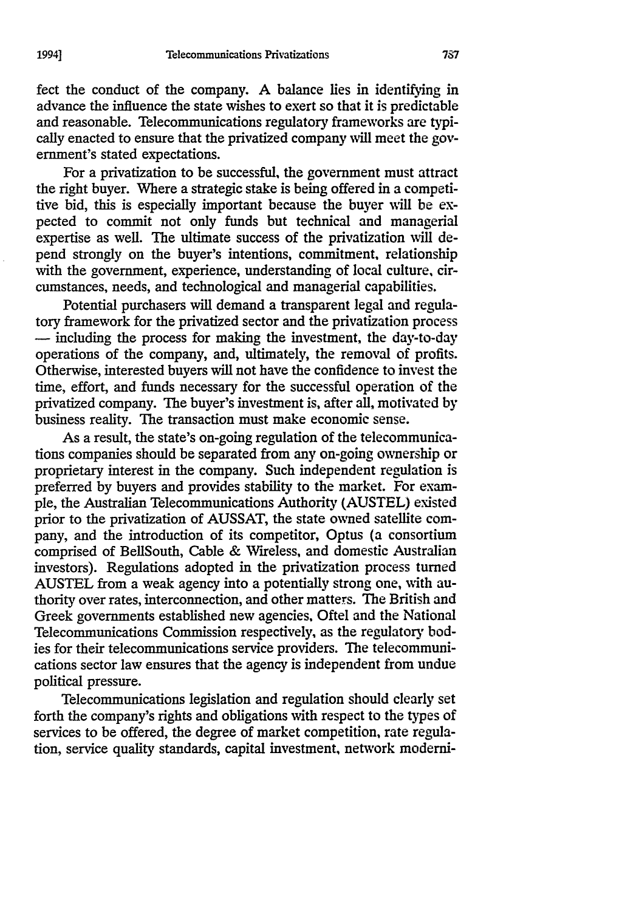fect the conduct of the company. A balance lies in identifying in advance the influence the state wishes to exert so that it is predictable and reasonable. Telecommunications regulatory frameworks are typically enacted to ensure that the privatized company will meet the government's stated expectations.

For a privatization to be successful, the government must attract the right buyer. Where a strategic stake is being offered in a competitive bid, this is especially important because the buyer will be expected to commit not only funds but technical and managerial expertise as well. The ultimate success of the privatization will depend strongly on the buyer's intentions, commitment, relationship with the government, experience, understanding of local culture, circumstances, needs, and technological and managerial capabilities.

Potential purchasers will demand a transparent legal and regulatory framework for the privatized sector and the privatization process **-** including the process for making the investment, the day-to-day operations of the company, and, ultimately, the removal of profits. Otherwise, interested buyers will not have the confidence to invest the time, effort, and funds necessary for the successful operation of the privatized company. The buyer's investment is, after all, motivated by business reality. The transaction must make economic sense.

As a result, the state's on-going regulation of the telecommunications companies should be separated from any on-going ownership or proprietary interest in the company. Such independent regulation is preferred by buyers and provides stability to the market. For example, the Australian Telecommunications Authority (AUSTEL) existed prior to the privatization of AUSSAT, the state owned satellite company, and the introduction of its competitor, Optus (a consortium comprised of BellSouth, Cable & Wireless, and domestic Australian investors). Regulations adopted in the privatization process turned AUSTEL from a weak agency into a potentially strong one, with authority over rates, interconnection, and other matters. The British and Greek governments established new agencies, Oftel and the National Telecommunications Commission respectively, as the regulatory bodies for their telecommunications service providers. The telecommunications sector law ensures that the agency is independent from undue political pressure.

Telecommunications legislation and regulation should clearly set forth the company's rights and obligations with respect to the types of services to be offered, the degree of market competition, rate regulation, service quality standards, capital investment, network moderni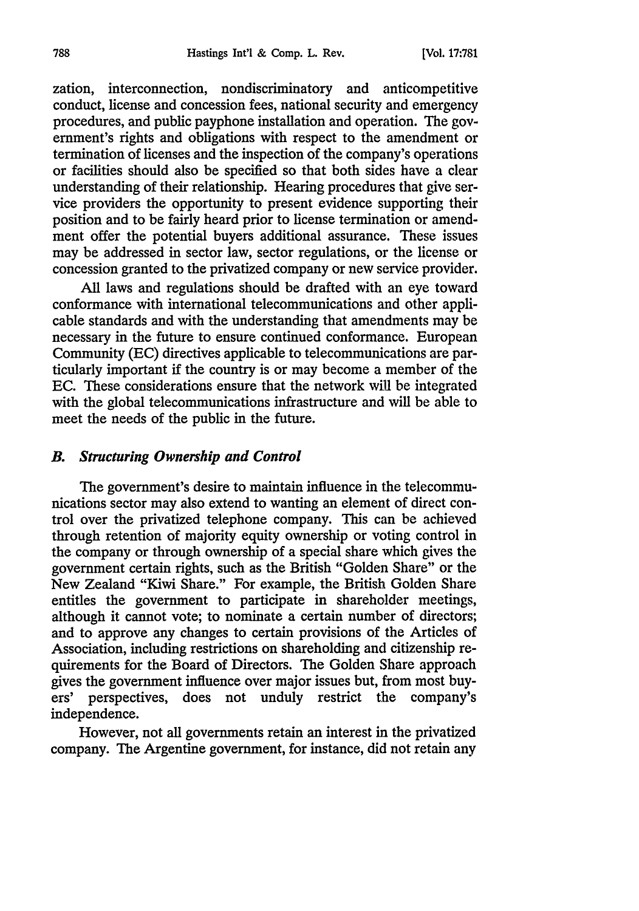zation, interconnection, nondiscriminatory and anticompetitive conduct, license and concession fees, national security and emergency procedures, and public payphone installation and operation. The government's rights and obligations with respect to the amendment or termination of licenses and the inspection of the company's operations or facilities should also be specified so that both sides have a clear understanding of their relationship. Hearing procedures that give service providers the opportunity to present evidence supporting their position and to be fairly heard prior to license termination or amendment offer the potential buyers additional assurance. These issues may be addressed in sector law, sector regulations, or the license or concession granted to the privatized company or new service provider.

All laws and regulations should be drafted with an eye toward conformance with international telecommunications and other applicable standards and with the understanding that amendments may be necessary in the future to ensure continued conformance. European Community (EC) directives applicable to telecommunications are particularly important if the country is or may become a member of the EC. These considerations ensure that the network will be integrated with the global telecommunications infrastructure and will be able to meet the needs of the public in the future.

#### *B. Structuring Ownership and Control*

The government's desire to maintain influence in the telecommunications sector may also extend to wanting an element of direct control over the privatized telephone company. This can be achieved through retention of majority equity ownership or voting control in the company or through ownership of a special share which gives the government certain rights, such as the British "Golden Share" or the New Zealand "Kiwi Share." For example, the British Golden Share entitles the government to participate in shareholder meetings, although it cannot vote; to nominate a certain number of directors; and to approve any changes to certain provisions of the Articles of Association, including restrictions on shareholding and citizenship requirements for the Board of Directors. The Golden Share approach gives the government influence over major issues but, from most buyers' perspectives, does not unduly restrict the company's independence.

However, not all governments retain an interest in the privatized company. The Argentine government, for instance, did not retain any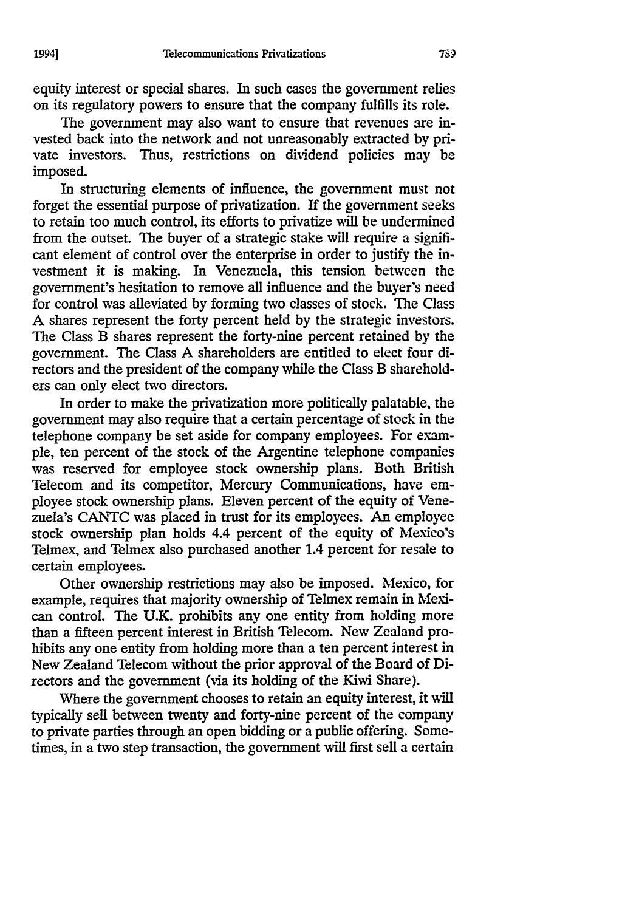equity interest or special shares. In such cases the government relies on its regulatory powers to ensure that the company fulfills its role.

The government may also want to ensure that revenues are invested back into the network and not unreasonably extracted by private investors. Thus, restrictions on dividend policies may be imposed.

In structuring elements of influence, the government must not forget the essential purpose of privatization. If the government seeks to retain too much control, its efforts to privatize will be undermined from the outset. The buyer of a strategic stake will require a significant element of control over the enterprise in order to justify the investment it is making. In Venezuela, this tension between the government's hesitation to remove all influence and the buyer's need for control was alleviated by forming two classes of stock. The Class A shares represent the forty percent held by the strategic investors. The Class B shares represent the forty-nine percent retained by the government. The Class **A** shareholders are entitled to elect four directors and the president of the company while the Class B shareholders can only elect two directors.

In order to make the privatization more politically palatable, the government may also require that a certain percentage of stock in the telephone company be set aside for company employees. For example, ten percent of the stock of the Argentine telephone companies was reserved for employee stock ownership plans. Both British Telecom and its competitor, Mercury Communications, have employee stock ownership plans. Eleven percent of the equity of Venezuela's CANTC was placed in trust for its employees. An employee stock ownership plan holds 4.4 percent of the equity of Mexico's Telmex, and Telmex also purchased another 1.4 percent for resale to certain employees.

Other ownership restrictions may also be imposed. Mexico, for example, requires that majority ownership of Telmex remain in Mexican control. The U.K. prohibits any one entity from holding more than a fifteen percent interest in British Telecom. New Zealand prohibits any one entity from holding more than a ten percent interest in New Zealand Telecom without the prior approval of the Board of Directors and the government (via its holding of the Kiwi Share).

Where the government chooses to retain an equity interest, it will typically sell between twenty and forty-nine percent of the company to private parties through an open bidding or a public offering. Sometimes, in a two step transaction, the government will first sell a certain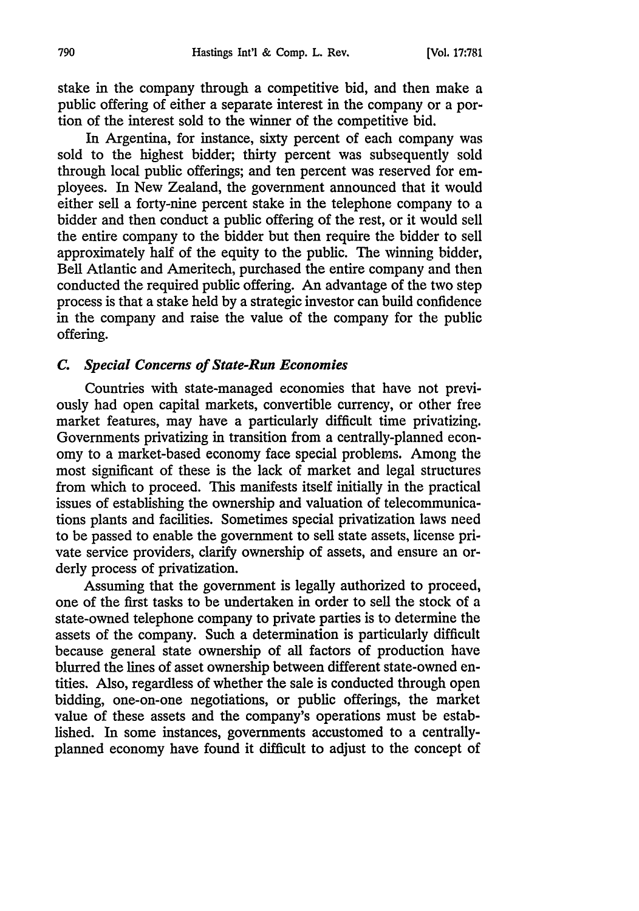stake in the company through a competitive bid, and then make a public offering of either a separate interest in the company or a portion of the interest sold to the winner of the competitive bid.

In Argentina, for instance, sixty percent of each company was sold to the highest bidder; thirty percent was subsequently sold through local public offerings; and ten percent was reserved for employees. In New Zealand, the government announced that it would either sell a forty-nine percent stake in the telephone company to a bidder and then conduct a public offering of the rest, or it would sell the entire company to the bidder but then require the bidder to sell approximately half of the equity to the public. The winning bidder, Bell Atlantic and Ameritech, purchased the entire company and then conducted the required public offering. An advantage of the two step process is that a stake held by a strategic investor can build confidence in the company and raise the value of the company for the public offering.

#### *C. Special Concerns of State-Run Economies*

Countries with state-managed economies that have not previously had open capital markets, convertible currency, or other free market features, may have a particularly difficult time privatizing. Governments privatizing in transition from a centrally-planned economy to a market-based economy face special problems. Among the most significant of these is the lack of market and legal structures from which to proceed. This manifests itself initially in the practical issues of establishing the ownership and valuation of telecommunications plants and facilities. Sometimes special privatization laws need to be passed to enable the government to sell state assets, license private service providers, clarify ownership of assets, and ensure an orderly process of privatization.

Assuming that the government is legally authorized to proceed, one of the first tasks to be undertaken in order to sell the stock of a state-owned telephone company to private parties is to determine the assets of the company. Such a determination is particularly difficult because general state ownership of all factors of production have blurred the lines of asset ownership between different state-owned entities. Also, regardless of whether the sale is conducted through open bidding, one-on-one negotiations, or public offerings, the market value of these assets and the company's operations must be established. In some instances, governments accustomed to a centrallyplanned economy have found it difficult to adjust to the concept of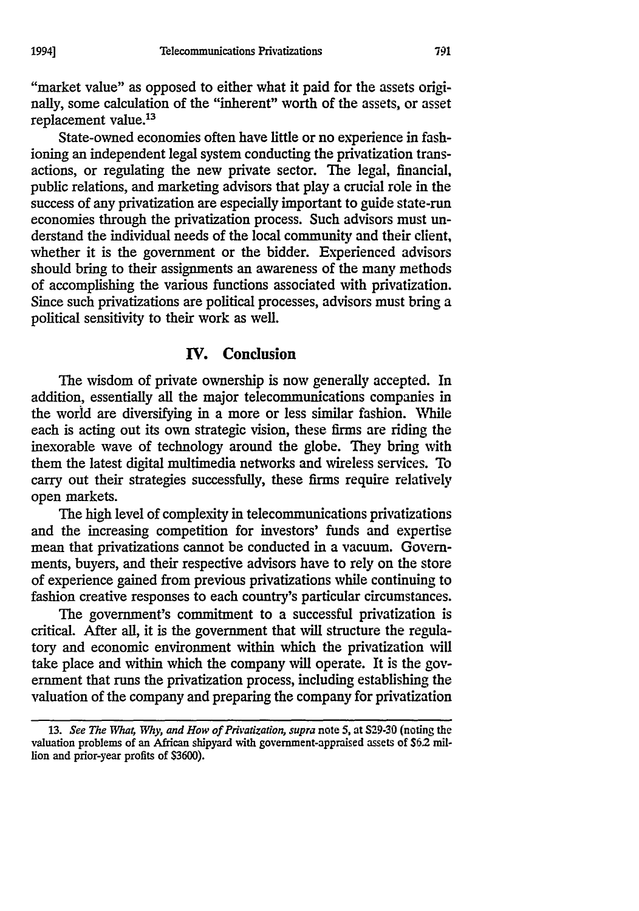"market value" as opposed to either what it paid for the assets originally, some calculation of the "inherent" worth of the assets, or asset replacement value.<sup>13</sup>

State-owned economies often have little or no experience in fashioning an independent legal system conducting the privatization transactions, or regulating the new private sector. The legal, financial, public relations, and marketing advisors that play a crucial role in the success of any privatization are especially important to guide state-run economies through the privatization process. Such advisors must understand the individual needs of the local community and their client, whether it is the government or the bidder. Experienced advisors should bring to their assignments an awareness of the many methods of accomplishing the various functions associated with privatization. Since such privatizations are political processes, advisors must bring a political sensitivity to their work as well.

## **IV. Conclusion**

The wisdom of private ownership is now generally accepted. In addition, essentially all the major telecommunications companies in the world are diversifying in a more or less similar fashion. While each is acting out its own strategic vision, these firms are riding the inexorable wave of technology around the globe. They bring with them the latest digital multimedia networks and wireless services. To carry out their strategies successfully, these firms require relatively open markets.

The high level of complexity in telecommunications privatizations and the increasing competition for investors' funds and expertise mean that privatizations cannot be conducted in a vacuum. Governments, buyers, and their respective advisors have to rely on the store of experience gained from previous privatizations while continuing to fashion creative responses to each country's particular circumstances.

The government's commitment to a successful privatization is critical. After all, it is the government that will structure the regulatory and economic environment within which the privatization will take place and within which the company will operate. It is the government that runs the privatization process, including establishing the valuation of the company and preparing the company for privatization

<sup>13.</sup> *See The Wha4 Why, and How of Privatization, supra* note **5,** at **S29-30** (noting the valuation problems of an African shipyard with government-appraised assets of *S62* million and prior-year profits of \$3600).